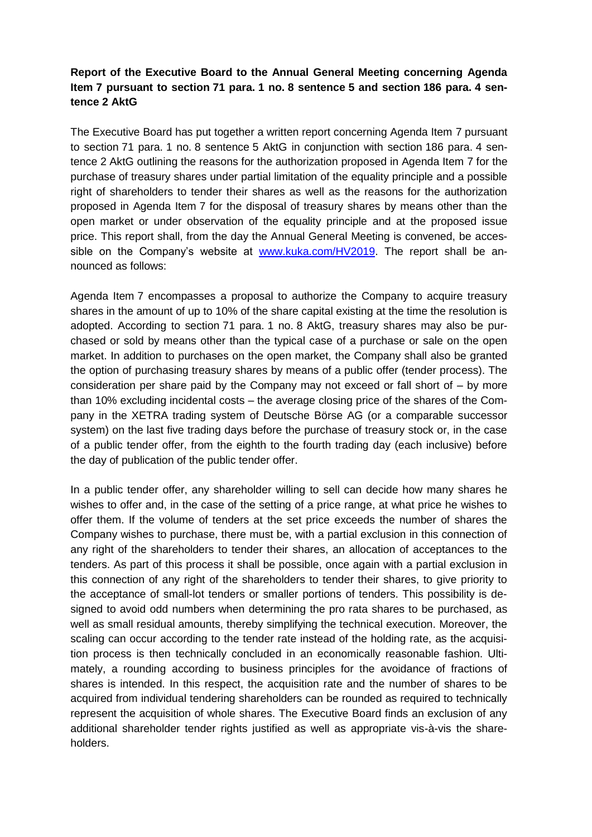## **Report of the Executive Board to the Annual General Meeting concerning Agenda Item 7 pursuant to section 71 para. 1 no. 8 sentence 5 and section 186 para. 4 sentence 2 AktG**

The Executive Board has put together a written report concerning Agenda Item 7 pursuant to section 71 para. 1 no. 8 sentence 5 AktG in conjunction with section 186 para. 4 sentence 2 AktG outlining the reasons for the authorization proposed in Agenda Item 7 for the purchase of treasury shares under partial limitation of the equality principle and a possible right of shareholders to tender their shares as well as the reasons for the authorization proposed in Agenda Item 7 for the disposal of treasury shares by means other than the open market or under observation of the equality principle and at the proposed issue price. This report shall, from the day the Annual General Meeting is convened, be accessible on the Company's website at [www.kuka.com/HV2019.](http://www.kuka.com/HV2019) The report shall be announced as follows:

Agenda Item 7 encompasses a proposal to authorize the Company to acquire treasury shares in the amount of up to 10% of the share capital existing at the time the resolution is adopted. According to section 71 para. 1 no. 8 AktG, treasury shares may also be purchased or sold by means other than the typical case of a purchase or sale on the open market. In addition to purchases on the open market, the Company shall also be granted the option of purchasing treasury shares by means of a public offer (tender process). The consideration per share paid by the Company may not exceed or fall short of – by more than 10% excluding incidental costs – the average closing price of the shares of the Company in the XETRA trading system of Deutsche Börse AG (or a comparable successor system) on the last five trading days before the purchase of treasury stock or, in the case of a public tender offer, from the eighth to the fourth trading day (each inclusive) before the day of publication of the public tender offer.

In a public tender offer, any shareholder willing to sell can decide how many shares he wishes to offer and, in the case of the setting of a price range, at what price he wishes to offer them. If the volume of tenders at the set price exceeds the number of shares the Company wishes to purchase, there must be, with a partial exclusion in this connection of any right of the shareholders to tender their shares, an allocation of acceptances to the tenders. As part of this process it shall be possible, once again with a partial exclusion in this connection of any right of the shareholders to tender their shares, to give priority to the acceptance of small-lot tenders or smaller portions of tenders. This possibility is designed to avoid odd numbers when determining the pro rata shares to be purchased, as well as small residual amounts, thereby simplifying the technical execution. Moreover, the scaling can occur according to the tender rate instead of the holding rate, as the acquisition process is then technically concluded in an economically reasonable fashion. Ultimately, a rounding according to business principles for the avoidance of fractions of shares is intended. In this respect, the acquisition rate and the number of shares to be acquired from individual tendering shareholders can be rounded as required to technically represent the acquisition of whole shares. The Executive Board finds an exclusion of any additional shareholder tender rights justified as well as appropriate vis-à-vis the shareholders.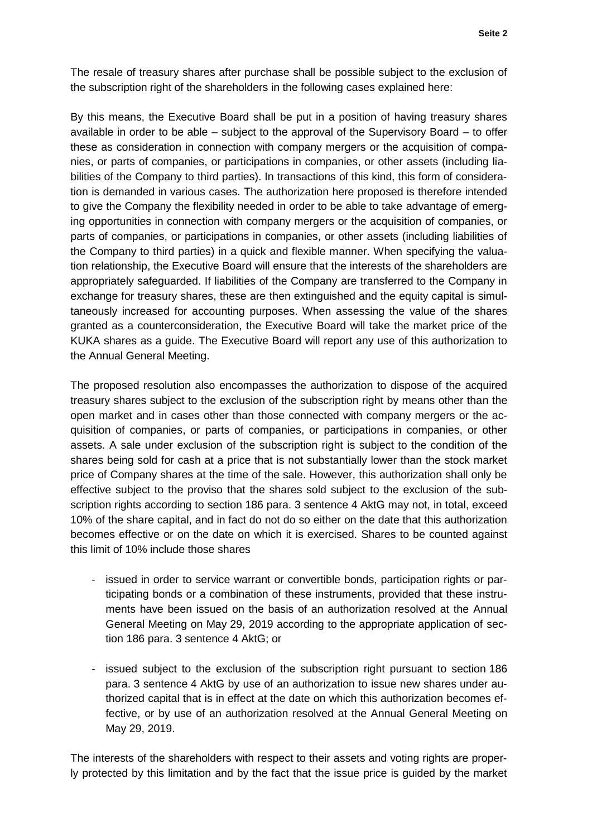The resale of treasury shares after purchase shall be possible subject to the exclusion of the subscription right of the shareholders in the following cases explained here:

By this means, the Executive Board shall be put in a position of having treasury shares available in order to be able – subject to the approval of the Supervisory Board – to offer these as consideration in connection with company mergers or the acquisition of companies, or parts of companies, or participations in companies, or other assets (including liabilities of the Company to third parties). In transactions of this kind, this form of consideration is demanded in various cases. The authorization here proposed is therefore intended to give the Company the flexibility needed in order to be able to take advantage of emerging opportunities in connection with company mergers or the acquisition of companies, or parts of companies, or participations in companies, or other assets (including liabilities of the Company to third parties) in a quick and flexible manner. When specifying the valuation relationship, the Executive Board will ensure that the interests of the shareholders are appropriately safeguarded. If liabilities of the Company are transferred to the Company in exchange for treasury shares, these are then extinguished and the equity capital is simultaneously increased for accounting purposes. When assessing the value of the shares granted as a counterconsideration, the Executive Board will take the market price of the KUKA shares as a guide. The Executive Board will report any use of this authorization to the Annual General Meeting.

The proposed resolution also encompasses the authorization to dispose of the acquired treasury shares subject to the exclusion of the subscription right by means other than the open market and in cases other than those connected with company mergers or the acquisition of companies, or parts of companies, or participations in companies, or other assets. A sale under exclusion of the subscription right is subject to the condition of the shares being sold for cash at a price that is not substantially lower than the stock market price of Company shares at the time of the sale. However, this authorization shall only be effective subject to the proviso that the shares sold subject to the exclusion of the subscription rights according to section 186 para. 3 sentence 4 AktG may not, in total, exceed 10% of the share capital, and in fact do not do so either on the date that this authorization becomes effective or on the date on which it is exercised. Shares to be counted against this limit of 10% include those shares

- issued in order to service warrant or convertible bonds, participation rights or participating bonds or a combination of these instruments, provided that these instruments have been issued on the basis of an authorization resolved at the Annual General Meeting on May 29, 2019 according to the appropriate application of section 186 para. 3 sentence 4 AktG; or
- issued subject to the exclusion of the subscription right pursuant to section 186 para. 3 sentence 4 AktG by use of an authorization to issue new shares under authorized capital that is in effect at the date on which this authorization becomes effective, or by use of an authorization resolved at the Annual General Meeting on May 29, 2019.

The interests of the shareholders with respect to their assets and voting rights are properly protected by this limitation and by the fact that the issue price is guided by the market